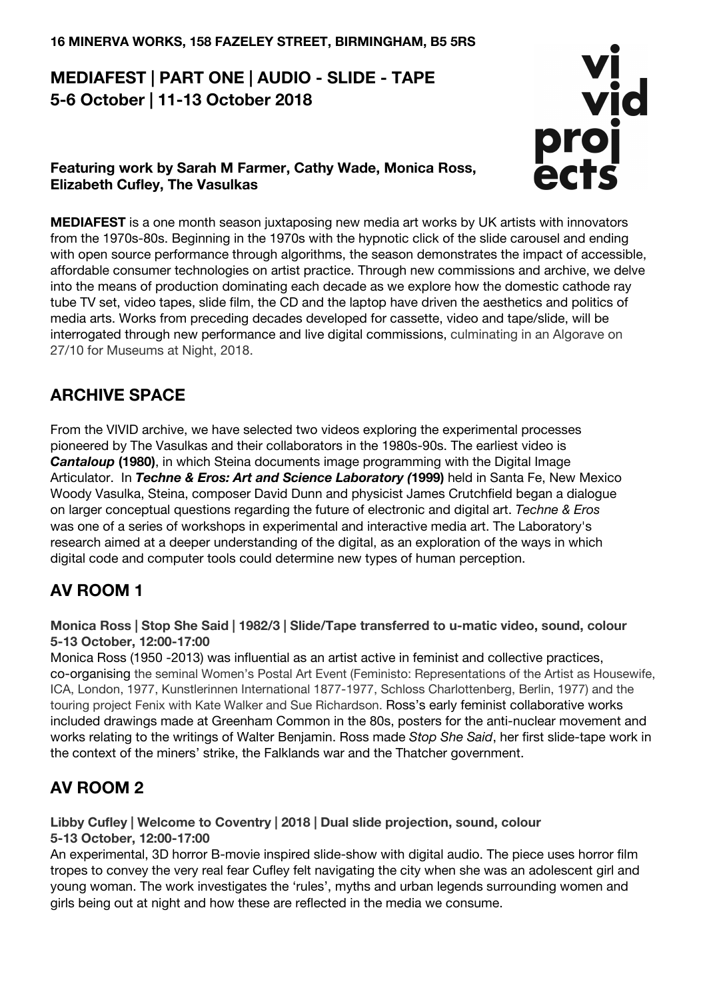# **MEDIAFEST | PART ONE | AUDIO - SLIDE - TAPE 5-6 October | 11-13 October 2018**

## **Featuring work by Sarah M Farmer, Cathy Wade, Monica Ross, Elizabeth Cufley, The Vasulkas**



**MEDIAFEST** is a one month season juxtaposing new media art works by UK artists with innovators from the 1970s-80s. Beginning in the 1970s with the hypnotic click of the slide carousel and ending with open source performance through algorithms, the season demonstrates the impact of accessible, affordable consumer technologies on artist practice. Through new commissions and archive, we delve into the means of production dominating each decade as we explore how the domestic cathode ray tube TV set, video tapes, slide film, the CD and the laptop have driven the aesthetics and politics of media arts. Works from preceding decades developed for cassette, video and tape/slide, will be interrogated through new performance and live digital commissions, culminating in an Algorave on 27/10 for Museums at Night, 2018.

## **ARCHIVE SPACE**

From the VIVID archive, we have selected two videos exploring the experimental processes pioneered by The Vasulkas and their collaborators in the 1980s-90s. The earliest video is *Cantaloup* (1980), in which Steina documents image programming with the Digital Image Articulator. In *Techne & Eros: Art and Science Laboratory (***1999)** held in Santa Fe, New Mexico Woody Vasulka, Steina, composer David Dunn and physicist James Crutchfield began a dialogue on larger conceptual questions regarding the future of electronic and digital art. *Techne & Eros* was one of a series of workshops in experimental and interactive media art. The Laboratory's research aimed at a deeper understanding of the digital, as an exploration of the ways in which digital code and computer tools could determine new types of human perception.

## **AV ROOM 1**

**Monica Ross | Stop She Said | 1982/3 | Slide/Tape transferred to u-matic video, sound, colour 5-13 October, 12:00-17:00**

Monica Ross (1950 -2013) was influential as an artist active in feminist and collective practices, co-organising the seminal Women's Postal Art Event (Feministo: Representations of the Artist as Housewife, ICA, London, 1977, Kunstlerinnen International 1877-1977, Schloss Charlottenberg, Berlin, 1977) and the touring project Fenix with Kate Walker and Sue Richardson. Ross's early feminist collaborative works included drawings made at Greenham Common in the 80s, posters for the anti-nuclear movement and works relating to the writings of Walter Benjamin. Ross made *Stop She Said*, her first slide-tape work in the context of the miners' strike, the Falklands war and the Thatcher government.

# **AV ROOM 2**

**Libby Cufley | Welcome to Coventry | 2018 | Dual slide projection, sound, colour 5-13 October, 12:00-17:00**

An experimental, 3D horror B-movie inspired slide-show with digital audio. The piece uses horror film tropes to convey the very real fear Cufley felt navigating the city when she was an adolescent girl and young woman. The work investigates the 'rules', myths and urban legends surrounding women and girls being out at night and how these are reflected in the media we consume.